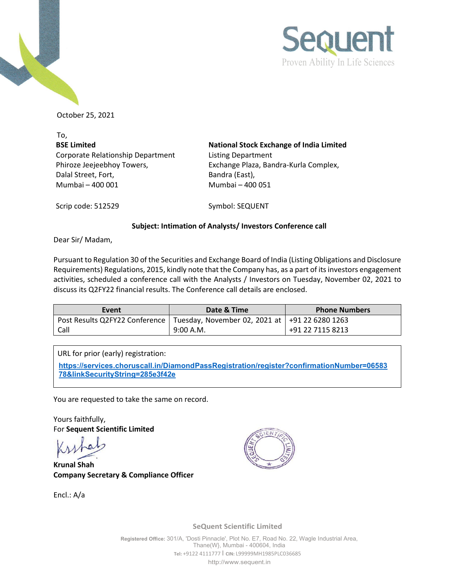



October 25, 2021

To, **BSE Limited** Corporate Relationship Department Phiroze Jeejeebhoy Towers, Dalal Street, Fort, Mumbai – 400 001 Mumbai – 400 051

**National Stock Exchange of India Limited** Listing Department Exchange Plaza, Bandra-Kurla Complex, Bandra (East),

Scrip code: 512529 Symbol: SEQUENT

## **Subject: Intimation of Analysts/ Investors Conference call**

Dear Sir/ Madam,

Pursuant to Regulation 30 of the Securities and Exchange Board of India (Listing Obligations and Disclosure Requirements) Regulations, 2015, kindly note that the Company has, as a part of its investors engagement activities, scheduled a conference call with the Analysts / Investors on Tuesday, November 02, 2021 to discuss its Q2FY22 financial results. The Conference call details are enclosed.

| Event | Date & Time                                                                       | <b>Phone Numbers</b> |
|-------|-----------------------------------------------------------------------------------|----------------------|
|       | Post Results Q2FY22 Conference   Tuesday, November 02, 2021 at   +91 22 6280 1263 |                      |
| Call  | 9:00 A.M.                                                                         | +91 22 7115 8213     |

URL for prior (early) registration:

**[https://services.choruscall.in/DiamondPassRegistration/register?confirmationNumber=06583](https://services.choruscall.in/DiamondPassRegistration/register?confirmationNumber=0658378&linkSecurityString=285e3f42e) [78&linkSecurityString=285e3f42e](https://services.choruscall.in/DiamondPassRegistration/register?confirmationNumber=0658378&linkSecurityString=285e3f42e)**

You are requested to take the same on record.

Yours faithfully, For **Sequent Scientific Limited**

**Krunal Shah Company Secretary & Compliance Officer** 

Encl.: A/a



**SeQuent Scientific Limited**

**Registered Office:** 301/A, 'Dosti Pinnacle', Plot No. E7, Road No. 22, Wagle Industrial Area, Thane(W}, Mumbai - 400604, India **Tel:** +9122 4111777 I **CIN:** L99999MH1985PLC036685 [http://www.sequent.in](http://www.sequent.in/)